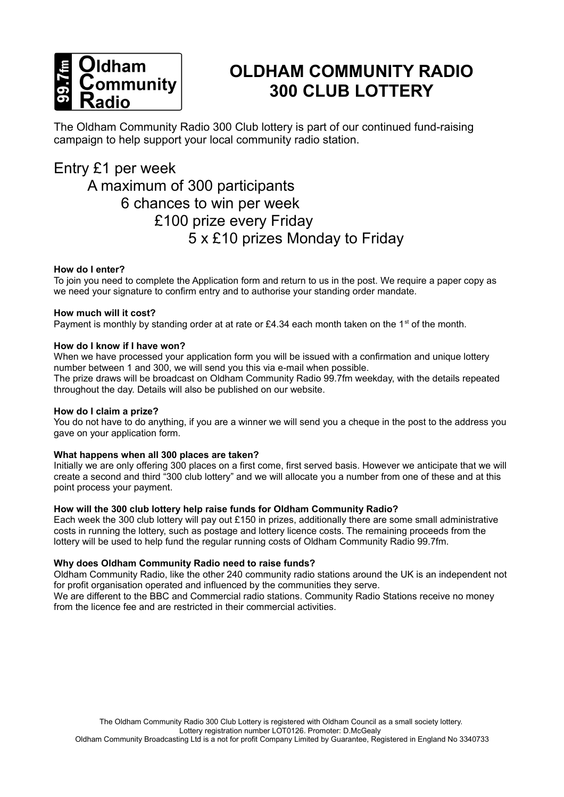

# **OLDHAM COMMUNITY RADIO 300 CLUB LOTTERY**

The Oldham Community Radio 300 Club lottery is part of our continued fund-raising campaign to help support your local community radio station.

### Entry £1 per week

## A maximum of 300 participants 6 chances to win per week £100 prize every Friday 5 x £10 prizes Monday to Friday

### **How do I enter?**

To join you need to complete the Application form and return to us in the post. We require a paper copy as we need your signature to confirm entry and to authorise your standing order mandate.

### **How much will it cost?**

Payment is monthly by standing order at at rate or £4.34 each month taken on the 1<sup>st</sup> of the month.

### **How do I know if I have won?**

When we have processed your application form you will be issued with a confirmation and unique lottery number between 1 and 300, we will send you this via e-mail when possible.

The prize draws will be broadcast on Oldham Community Radio 99.7fm weekday, with the details repeated throughout the day. Details will also be published on our website.

### **How do I claim a prize?**

You do not have to do anything, if you are a winner we will send you a cheque in the post to the address you gave on your application form.

### **What happens when all 300 places are taken?**

Initially we are only offering 300 places on a first come, first served basis. However we anticipate that we will create a second and third "300 club lottery" and we will allocate you a number from one of these and at this point process your payment.

### **How will the 300 club lottery help raise funds for Oldham Community Radio?**

Each week the 300 club lottery will pay out £150 in prizes, additionally there are some small administrative costs in running the lottery, such as postage and lottery licence costs. The remaining proceeds from the lottery will be used to help fund the regular running costs of Oldham Community Radio 99.7fm.

### **Why does Oldham Community Radio need to raise funds?**

Oldham Community Radio, like the other 240 community radio stations around the UK is an independent not for profit organisation operated and influenced by the communities they serve.

We are different to the BBC and Commercial radio stations. Community Radio Stations receive no money from the licence fee and are restricted in their commercial activities.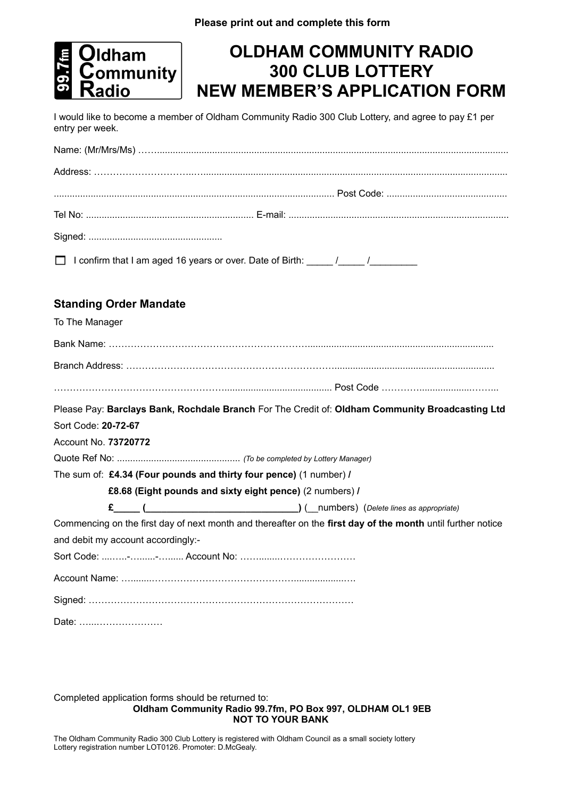

# **OLDHAM COMMUNITY RADIO 300 CLUB LOTTERY NEW MEMBER'S APPLICATION FORM**

I would like to become a member of Oldham Community Radio 300 Club Lottery, and agree to pay £1 per entry per week.

| □ I confirm that I am aged 16 years or over. Date of Birth: _____/_____/________ |  |  |
|----------------------------------------------------------------------------------|--|--|

### **Standing Order Mandate**

| To The Manager                                                                                              |
|-------------------------------------------------------------------------------------------------------------|
|                                                                                                             |
|                                                                                                             |
|                                                                                                             |
| Please Pay: Barclays Bank, Rochdale Branch For The Credit of: Oldham Community Broadcasting Ltd             |
| Sort Code: 20-72-67                                                                                         |
| Account No. 73720772                                                                                        |
|                                                                                                             |
| The sum of: £4.34 (Four pounds and thirty four pence) (1 number) /                                          |
| £8.68 (Eight pounds and sixty eight pence) (2 numbers) /                                                    |
|                                                                                                             |
| Commencing on the first day of next month and thereafter on the first day of the month until further notice |
| and debit my account accordingly:-                                                                          |
|                                                                                                             |
|                                                                                                             |
|                                                                                                             |
| Date:                                                                                                       |

Completed application forms should be returned to: **Oldham Community Radio 99.7fm, PO Box 997, OLDHAM OL1 9EB NOT TO YOUR BANK** 

The Oldham Community Radio 300 Club Lottery is registered with Oldham Council as a small society lottery Lottery registration number LOT0126. Promoter: D.McGealy.